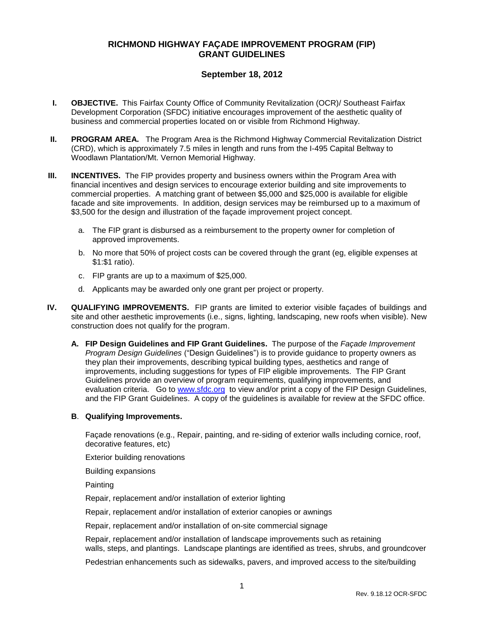# **RICHMOND HIGHWAY FAÇADE IMPROVEMENT PROGRAM (FIP) GRANT GUIDELINES**

# **September 18, 2012**

- **I. OBJECTIVE.** This Fairfax County Office of Community Revitalization (OCR)/ Southeast Fairfax Development Corporation (SFDC) initiative encourages improvement of the aesthetic quality of business and commercial properties located on or visible from Richmond Highway.
- **II. PROGRAM AREA.** The Program Area is the Richmond Highway Commercial Revitalization District (CRD), which is approximately 7.5 miles in length and runs from the I-495 Capital Beltway to Woodlawn Plantation/Mt. Vernon Memorial Highway.
- **III. INCENTIVES.** The FIP provides property and business owners within the Program Area with financial incentives and design services to encourage exterior building and site improvements to commercial properties. A matching grant of between \$5,000 and \$25,000 is available for eligible facade and site improvements. In addition, design services may be reimbursed up to a maximum of \$3,500 for the design and illustration of the façade improvement project concept.
	- a. The FIP grant is disbursed as a reimbursement to the property owner for completion of approved improvements.
	- b. No more that 50% of project costs can be covered through the grant (eg, eligible expenses at \$1:\$1 ratio).
	- c. FIP grants are up to a maximum of \$25,000.
	- d. Applicants may be awarded only one grant per project or property.
- **IV. QUALIFYING IMPROVEMENTS.** FIP grants are limited to exterior visible façades of buildings and site and other aesthetic improvements (i.e., signs, lighting, landscaping, new roofs when visible). New construction does not qualify for the program.
	- **A. FIP Design Guidelines and FIP Grant Guidelines.** The purpose of the *Façade Improvement Program Design Guidelines* ("Design Guidelines") is to provide guidance to property owners as they plan their improvements, describing typical building types, aesthetics and range of improvements, including suggestions for types of FIP eligible improvements. The FIP Grant Guidelines provide an overview of program requirements, qualifying improvements, and evaluation criteria.Go to [www.sfdc.org](http://www.sfdc.org/) to view and/or print a copy of the FIP Design Guidelines, and the FIP Grant Guidelines. A copy of the guidelines is available for review at the SFDC office.

#### **B**. **Qualifying Improvements.**

Façade renovations (e.g., Repair, painting, and re-siding of exterior walls including cornice, roof, decorative features, etc)

Exterior building renovations

Building expansions

Painting

Repair, replacement and/or installation of exterior lighting

Repair, replacement and/or installation of exterior canopies or awnings

Repair, replacement and/or installation of on-site commercial signage

Repair, replacement and/or installation of landscape improvements such as retaining walls, steps, and plantings. Landscape plantings are identified as trees, shrubs, and groundcover

Pedestrian enhancements such as sidewalks, pavers, and improved access to the site/building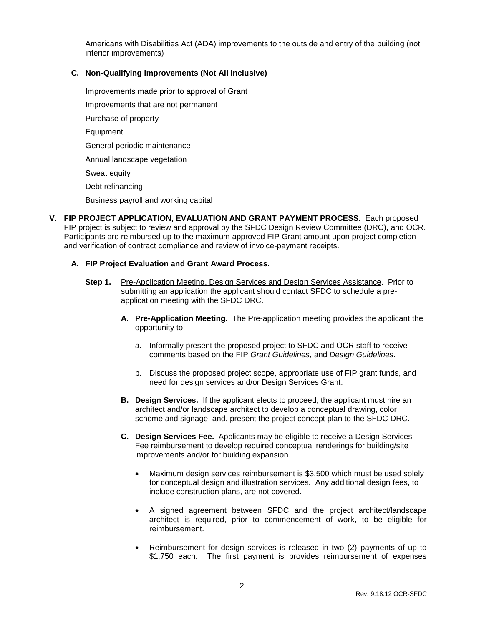Americans with Disabilities Act (ADA) improvements to the outside and entry of the building (not interior improvements)

### **C. Non-Qualifying Improvements (Not All Inclusive)**

Improvements made prior to approval of Grant Improvements that are not permanent Purchase of property Equipment General periodic maintenance Annual landscape vegetation Sweat equity Debt refinancing

- Business payroll and working capital
- **V. FIP PROJECT APPLICATION, EVALUATION AND GRANT PAYMENT PROCESS.** Each proposed FIP project is subject to review and approval by the SFDC Design Review Committee (DRC), and OCR. Participants are reimbursed up to the maximum approved FIP Grant amount upon project completion and verification of contract compliance and review of invoice-payment receipts.

### **A. FIP Project Evaluation and Grant Award Process.**

- **Step 1.** Pre-Application Meeting, Design Services and Design Services Assistance. Prior to submitting an application the applicant should contact SFDC to schedule a preapplication meeting with the SFDC DRC.
	- **A. Pre-Application Meeting.** The Pre-application meeting provides the applicant the opportunity to:
		- a. Informally present the proposed project to SFDC and OCR staff to receive comments based on the FIP *Grant Guidelines*, and *Design Guidelines.*
		- b. Discuss the proposed project scope, appropriate use of FIP grant funds, and need for design services and/or Design Services Grant.
	- **B. Design Services.** If the applicant elects to proceed, the applicant must hire an architect and/or landscape architect to develop a conceptual drawing, color scheme and signage; and, present the project concept plan to the SFDC DRC.
	- **C. Design Services Fee.** Applicants may be eligible to receive a Design Services Fee reimbursement to develop required conceptual renderings for building/site improvements and/or for building expansion.
		- Maximum design services reimbursement is \$3,500 which must be used solely for conceptual design and illustration services. Any additional design fees, to include construction plans, are not covered.
		- A signed agreement between SFDC and the project architect/landscape architect is required, prior to commencement of work, to be eligible for reimbursement.
		- Reimbursement for design services is released in two (2) payments of up to \$1,750 each. The first payment is provides reimbursement of expenses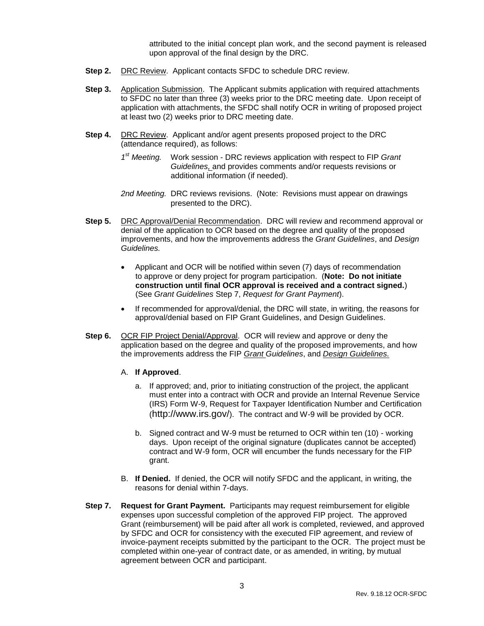attributed to the initial concept plan work, and the second payment is released upon approval of the final design by the DRC.

- **Step 2.** DRC Review. Applicant contacts SFDC to schedule DRC review.
- **Step 3.** Application Submission. The Applicant submits application with required attachments to SFDC no later than three (3) weeks prior to the DRC meeting date. Upon receipt of application with attachments, the SFDC shall notify OCR in writing of proposed project at least two (2) weeks prior to DRC meeting date.
- **Step 4.** DRC Review. Applicant and/or agent presents proposed project to the DRC (attendance required), as follows:
	- 1<sup>st</sup> Meeting. *st Meeting.* Work session - DRC reviews application with respect to FIP *Grant Guidelines,* and provides comments and/or requests revisions or additional information (if needed).
	- *2nd Meeting.* DRC reviews revisions. (Note: Revisions must appear on drawings presented to the DRC).
- **Step 5.** DRC Approval/Denial Recommendation. DRC will review and recommend approval or denial of the application to OCR based on the degree and quality of the proposed improvements, and how the improvements address the *Grant Guidelines*, and *Design Guidelines.* 
	- Applicant and OCR will be notified within seven (7) days of recommendation to approve or deny project for program participation. (**Note: Do not initiate construction until final OCR approval is received and a contract signed.**) (See *Grant Guidelines* Step 7, *Request for Grant Payment*).
	- If recommended for approval/denial, the DRC will state, in writing, the reasons for approval/denial based on FIP Grant Guidelines, and Design Guidelines.
- **Step 6.** OCR FIP Project Denial/Approval. OCR will review and approve or deny the application based on the degree and quality of the proposed improvements, and how the improvements address the FIP *Grant Guidelines*, and *Design Guidelines.*
	- A. **If Approved**.
		- a. If approved; and, prior to initiating construction of the project, the applicant must enter into a contract with OCR and provide an Internal Revenue Service (IRS) Form W-9, Request for Taxpayer Identification Number and Certification (<http://www.irs.gov/>). The contract and W-9 will be provided by OCR.
		- b. Signed contract and W-9 must be returned to OCR within ten (10) working days. Upon receipt of the original signature (duplicates cannot be accepted) contract and W-9 form, OCR will encumber the funds necessary for the FIP grant.
	- B. **If Denied.** If denied, the OCR will notify SFDC and the applicant, in writing, the reasons for denial within 7-days.
- **Step 7. Request for Grant Payment.** Participants may request reimbursement for eligible expenses upon successful completion of the approved FIP project.The approved Grant (reimbursement) will be paid after all work is completed, reviewed, and approved by SFDC and OCR for consistency with the executed FIP agreement, and review of invoice-payment receipts submitted by the participant to the OCR. The project must be completed within one-year of contract date, or as amended, in writing, by mutual agreement between OCR and participant.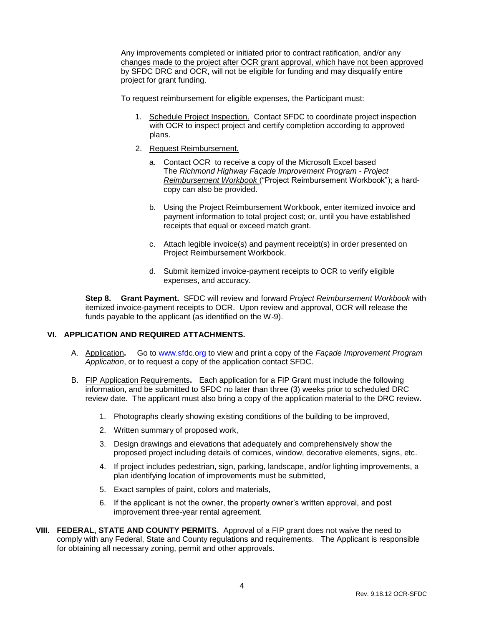Any improvements completed or initiated prior to contract ratification, and/or any changes made to the project after OCR grant approval, which have not been approved by SFDC DRC and OCR, will not be eligible for funding and may disqualify entire project for grant funding.

To request reimbursement for eligible expenses, the Participant must:

- 1. Schedule Project Inspection. Contact SFDC to coordinate project inspection with OCR to inspect project and certify completion according to approved plans.
- 2. Request Reimbursement.
	- a. Contact OCR to receive a copy of the Microsoft Excel based The *Richmond Highway Façade Improvement Program - Project Reimbursement Workbook* ("Project Reimbursement Workbook"); a hardcopy can also be provided.
	- b. Using the Project Reimbursement Workbook, enter itemized invoice and payment information to total project cost; or, until you have established receipts that equal or exceed match grant.
	- c. Attach legible invoice(s) and payment receipt(s) in order presented on Project Reimbursement Workbook.
	- d. Submit itemized invoice-payment receipts to OCR to verify eligible expenses, and accuracy.

**Step 8. Grant Payment.** SFDC will review and forward *Project Reimbursement Workbook* with itemized invoice-payment receipts to OCR. Upon review and approval, OCR will release the funds payable to the applicant (as identified on the W-9).

# **VI. APPLICATION AND REQUIRED ATTACHMENTS.**

- A. Application**.** Go to [www.sfdc.org](http://www.sfdc.org/) to view and print a copy of the *Façade Improvement Program Application*, or to request a copy of the application contact SFDC.
- B. FIP Application Requirements**.** Each application for a FIP Grant must include the following information, and be submitted to SFDC no later than three (3) weeks prior to scheduled DRC review date. The applicant must also bring a copy of the application material to the DRC review.
	- 1. Photographs clearly showing existing conditions of the building to be improved,
	- 2. Written summary of proposed work,
	- 3. Design drawings and elevations that adequately and comprehensively show the proposed project including details of cornices, window, decorative elements, signs, etc.
	- 4. If project includes pedestrian, sign, parking, landscape, and/or lighting improvements, a plan identifying location of improvements must be submitted,
	- 5. Exact samples of paint, colors and materials,
	- 6. If the applicant is not the owner, the property owner's written approval, and post improvement three-year rental agreement.
- **VIII. FEDERAL, STATE AND COUNTY PERMITS.** Approval of a FIP grant does not waive the need to comply with any Federal, State and County regulations and requirements. The Applicant is responsible for obtaining all necessary zoning, permit and other approvals.